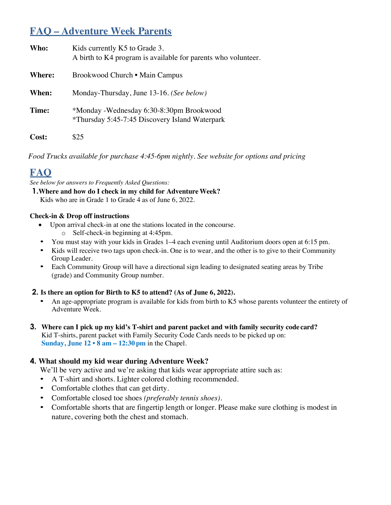# **FAQ – Adventure Week Parents**

| Who:          | Kids currently K5 to Grade 3.<br>A birth to K4 program is available for parents who volunteer. |
|---------------|------------------------------------------------------------------------------------------------|
| <b>Where:</b> | Brookwood Church • Main Campus                                                                 |
| When:         | Monday-Thursday, June 13-16. (See below)                                                       |
| Time:         | *Monday -Wednesday 6:30-8:30pm Brookwood<br>*Thursday 5:45-7:45 Discovery Island Waterpark     |
| Cost:         | \$25                                                                                           |

*Food Trucks available for purchase 4:45-6pm nightly. See website for options and pricing*

# **FAQ**

*See below for answers to Frequently Asked Questions:*

**1.Where and how do I check in my child for AdventureWeek?** Kids who are in Grade 1 to Grade 4 as of June 6, 2022.

#### **Check-in & Drop off instructions**

- Upon arrival check-in at one the stations located in the concourse.
	- o Self-check-in beginning at 4:45pm.
- You must stay with your kids in Grades 1–4 each evening until Auditorium doors open at 6:15 pm.
- Kids will receive two tags upon check-in. One is to wear, and the other is to give to their Community Group Leader.
- Each Community Group will have a directional sign leading to designated seating areas by Tribe (grade) and Community Group number.

#### **2. Is there an option for Birth to K5 to attend? (As of June 6, 2022).**

- An age-appropriate program is available for kids from birth to K5 whose parents volunteer the entirety of Adventure Week.
- **3. Where can I pick up my kid's T-shirt and parent packet and with family security code card?** Kid T-shirts, parent packet with Family Security Code Cards needs to be picked up on: **Sunday, June 12 • 8 am – 12:30 pm** in the Chapel.

#### **4. What should my kid wear during Adventure Week?**

We'll be very active and we're asking that kids wear appropriate attire such as:

- A T-shirt and shorts. Lighter colored clothing recommended.
- Comfortable clothes that can get dirty.
- Comfortable closed toe shoes *(preferably tennis shoes).*
- Comfortable shorts that are fingertip length or longer. Please make sure clothing is modest in nature, covering both the chest and stomach.